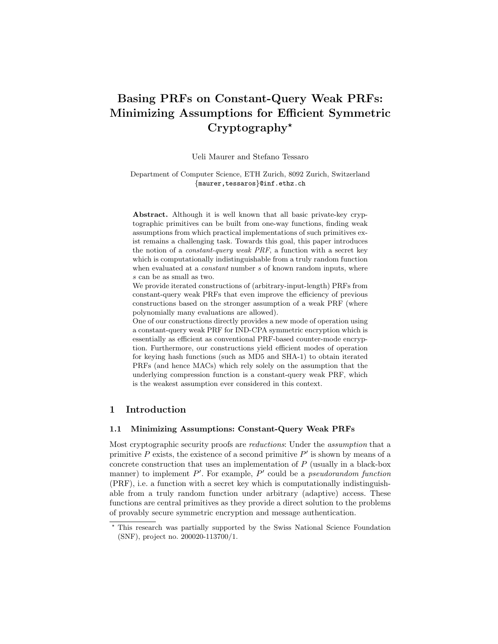# Basing PRFs on Constant-Query Weak PRFs: Minimizing Assumptions for Efficient Symmetric Cryptography<sup>\*</sup>

Ueli Maurer and Stefano Tessaro

Department of Computer Science, ETH Zurich, 8092 Zurich, Switzerland {maurer,tessaros}@inf.ethz.ch

Abstract. Although it is well known that all basic private-key cryptographic primitives can be built from one-way functions, finding weak assumptions from which practical implementations of such primitives exist remains a challenging task. Towards this goal, this paper introduces the notion of a constant-query weak PRF, a function with a secret key which is computationally indistinguishable from a truly random function when evaluated at a *constant* number s of known random inputs, where s can be as small as two.

We provide iterated constructions of (arbitrary-input-length) PRFs from constant-query weak PRFs that even improve the efficiency of previous constructions based on the stronger assumption of a weak PRF (where polynomially many evaluations are allowed).

One of our constructions directly provides a new mode of operation using a constant-query weak PRF for IND-CPA symmetric encryption which is essentially as efficient as conventional PRF-based counter-mode encryption. Furthermore, our constructions yield efficient modes of operation for keying hash functions (such as MD5 and SHA-1) to obtain iterated PRFs (and hence MACs) which rely solely on the assumption that the underlying compression function is a constant-query weak PRF, which is the weakest assumption ever considered in this context.

# 1 Introduction

#### 1.1 Minimizing Assumptions: Constant-Query Weak PRFs

Most cryptographic security proofs are reductions: Under the assumption that a primitive  $P$  exists, the existence of a second primitive  $P'$  is shown by means of a concrete construction that uses an implementation of  $P$  (usually in a black-box manner) to implement  $P'$ . For example,  $P'$  could be a *pseudorandom function* (PRF), i.e. a function with a secret key which is computationally indistinguishable from a truly random function under arbitrary (adaptive) access. These functions are central primitives as they provide a direct solution to the problems of provably secure symmetric encryption and message authentication.

<sup>?</sup> This research was partially supported by the Swiss National Science Foundation (SNF), project no. 200020-113700/1.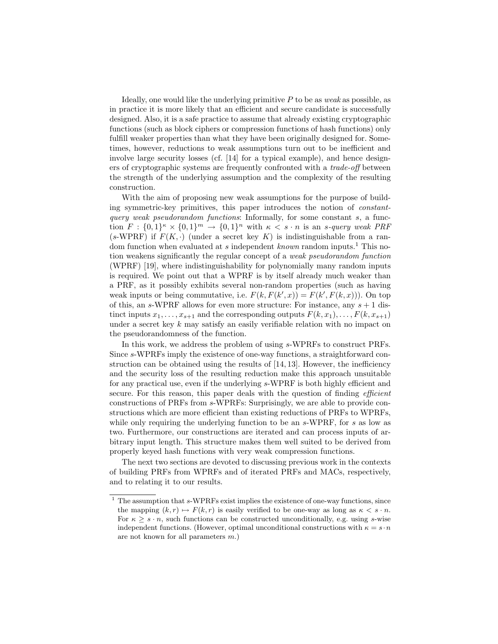Ideally, one would like the underlying primitive  $P$  to be as *weak* as possible, as in practice it is more likely that an efficient and secure candidate is successfully designed. Also, it is a safe practice to assume that already existing cryptographic functions (such as block ciphers or compression functions of hash functions) only fulfill weaker properties than what they have been originally designed for. Sometimes, however, reductions to weak assumptions turn out to be inefficient and involve large security losses (cf. [14] for a typical example), and hence designers of cryptographic systems are frequently confronted with a trade-off between the strength of the underlying assumption and the complexity of the resulting construction.

With the aim of proposing new weak assumptions for the purpose of building symmetric-key primitives, this paper introduces the notion of constantquery weak pseudorandom functions: Informally, for some constant  $s$ , a function  $F: \{0,1\}^n \times \{0,1\}^m \rightarrow \{0,1\}^n$  with  $\kappa < s \cdot n$  is an s-query weak PRF (s-WPRF) if  $F(K, \cdot)$  (under a secret key K) is indistinguishable from a random function when evaluated at s independent known random inputs.<sup>1</sup> This notion weakens significantly the regular concept of a weak pseudorandom function (WPRF) [19], where indistinguishability for polynomially many random inputs is required. We point out that a WPRF is by itself already much weaker than a PRF, as it possibly exhibits several non-random properties (such as having weak inputs or being commutative, i.e.  $F(k, F(k', x)) = F(k', F(k, x))$ . On top of this, an s-WPRF allows for even more structure: For instance, any  $s + 1$  distinct inputs  $x_1, \ldots, x_{s+1}$  and the corresponding outputs  $F(k, x_1), \ldots, F(k, x_{s+1})$ under a secret key  $k$  may satisfy an easily verifiable relation with no impact on the pseudorandomness of the function.

In this work, we address the problem of using s-WPRFs to construct PRFs. Since s-WPRFs imply the existence of one-way functions, a straightforward construction can be obtained using the results of  $[14, 13]$ . However, the inefficiency and the security loss of the resulting reduction make this approach unsuitable for any practical use, even if the underlying s-WPRF is both highly efficient and secure. For this reason, this paper deals with the question of finding *efficient* constructions of PRFs from s-WPRFs: Surprisingly, we are able to provide constructions which are more efficient than existing reductions of PRFs to WPRFs, while only requiring the underlying function to be an s-WPRF, for s as low as two. Furthermore, our constructions are iterated and can process inputs of arbitrary input length. This structure makes them well suited to be derived from properly keyed hash functions with very weak compression functions.

The next two sections are devoted to discussing previous work in the contexts of building PRFs from WPRFs and of iterated PRFs and MACs, respectively, and to relating it to our results.

 $1$  The assumption that s-WPRFs exist implies the existence of one-way functions, since the mapping  $(k, r) \mapsto F(k, r)$  is easily verified to be one-way as long as  $\kappa < s \cdot n$ . For  $\kappa \geq s \cdot n$ , such functions can be constructed unconditionally, e.g. using s-wise independent functions. (However, optimal unconditional constructions with  $\kappa = s \cdot n$ are not known for all parameters m.)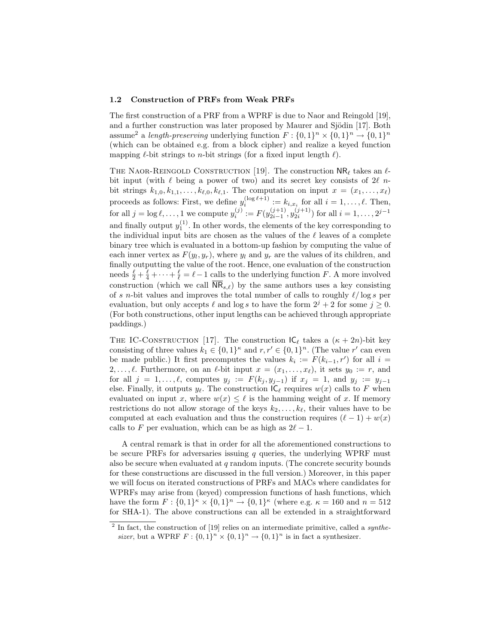### 1.2 Construction of PRFs from Weak PRFs

The first construction of a PRF from a WPRF is due to Naor and Reingold [19], and a further construction was later proposed by Maurer and Sjödin [17]. Both assume<sup>2</sup> a length-preserving underlying function  $F: \{0,1\}^n \times \{0,1\}^n \rightarrow \{0,1\}^n$ (which can be obtained e.g. from a block cipher) and realize a keyed function mapping  $\ell$ -bit strings to *n*-bit strings (for a fixed input length  $\ell$ ).

THE NAOR-REINGOLD CONSTRUCTION [19]. The construction  $NR_\ell$  takes an  $\ell$ bit input (with  $\ell$  being a power of two) and its secret key consists of  $2\ell$  nbit strings  $k_{1,0}, k_{1,1}, \ldots, k_{\ell,0}, k_{\ell,1}$ . The computation on input  $x = (x_1, \ldots, x_\ell)$ proceeds as follows: First, we define  $y_i^{(\log \ell+1)} := k_{i,x_i}$  for all  $i = 1,\ldots,\ell$ . Then, for all  $j = \log \ell, \ldots, 1$  we compute  $y_i^{(j)} := F(y_{2i-1}^{(j+1)}, y_{2i}^{(j+1)})$  for all  $i = 1, \ldots, 2^{j-1}$ and finally output  $y_1^{(1)}$ . In other words, the elements of the key corresponding to the individual input bits are chosen as the values of the  $\ell$  leaves of a complete binary tree which is evaluated in a bottom-up fashion by computing the value of each inner vertex as  $F(y_l, y_r)$ , where  $y_l$  and  $y_r$  are the values of its children, and finally outputting the value of the root. Hence, one evaluation of the construction needs  $\frac{\ell}{2} + \frac{\ell}{4} + \cdots + \frac{\ell}{\ell} = \ell - 1$  calls to the underlying function F. A more involved construction (which we call  $\overline{\text{NR}}_{s,\ell}$ ) by the same authors uses a key consisting of s n-bit values and improves the total number of calls to roughly  $\ell/\log s$  per evaluation, but only accepts  $\ell$  and log s to have the form  $2^{j} + 2$  for some  $j \geq 0$ . (For both constructions, other input lengths can be achieved through appropriate paddings.)

THE IC-CONSTRUCTION [17]. The construction  $C_{\ell}$  takes a  $(\kappa + 2n)$ -bit key consisting of three values  $k_1 \in \{0,1\}^{\kappa}$  and  $r, r' \in \{0,1\}^n$ . (The value r' can even be made public.) It first precomputes the values  $k_i := F(k_{i-1}, r')$  for all  $i =$ 2,...,  $\ell$ . Furthermore, on an  $\ell$ -bit input  $x = (x_1, \ldots, x_\ell)$ , it sets  $y_0 := r$ , and for all  $j = 1, \ldots, \ell$ , computes  $y_j := F(k_j, y_{j-1})$  if  $x_j = 1$ , and  $y_j := y_{j-1}$ else. Finally, it outputs  $y_\ell$ . The construction  $\mathsf{IC}_\ell$  requires  $w(x)$  calls to F when evaluated on input x, where  $w(x) \leq \ell$  is the hamming weight of x. If memory restrictions do not allow storage of the keys  $k_2, \ldots, k_\ell$ , their values have to be computed at each evaluation and thus the construction requires  $(\ell - 1) + w(x)$ calls to F per evaluation, which can be as high as  $2\ell - 1$ .

A central remark is that in order for all the aforementioned constructions to be secure PRFs for adversaries issuing  $q$  queries, the underlying WPRF must also be secure when evaluated at  $q$  random inputs. (The concrete security bounds for these constructions are discussed in the full version.) Moreover, in this paper we will focus on iterated constructions of PRFs and MACs where candidates for WPRFs may arise from (keyed) compression functions of hash functions, which have the form  $F: \{0,1\}^n \times \{0,1\}^n \to \{0,1\}^{\kappa}$  (where e.g.  $\kappa = 160$  and  $n = 512$ for SHA-1). The above constructions can all be extended in a straightforward

<sup>&</sup>lt;sup>2</sup> In fact, the construction of [19] relies on an intermediate primitive, called a *synthe*sizer, but a WPRF  $F: \{0,1\}^n \times \{0,1\}^n \rightarrow \{0,1\}^n$  is in fact a synthesizer.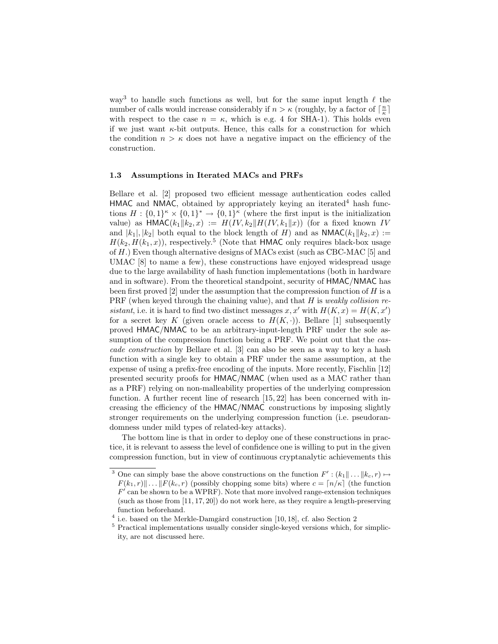way<sup>3</sup> to handle such functions as well, but for the same input length  $\ell$  the number of calls would increase considerably if  $n > \kappa$  (roughly, by a factor of  $\lceil \frac{n}{\kappa} \rceil$ with respect to the case  $n = \kappa$ , which is e.g. 4 for SHA-1). This holds even if we just want  $\kappa$ -bit outputs. Hence, this calls for a construction for which the condition  $n > \kappa$  does not have a negative impact on the efficiency of the construction.

### 1.3 Assumptions in Iterated MACs and PRFs

Bellare et al. [2] proposed two efficient message authentication codes called  $HMAC$  and  $NMAC$ , obtained by appropriately keying an iterated<sup>4</sup> hash functions  $H: \{0,1\}^k \times \{0,1\}^* \to \{0,1\}^k$  (where the first input is the initialization value) as  $HMAC(k_1||k_2, x) := H(IV, k_2||H(IV, k_1||x))$  (for a fixed known IV and  $|k_1|, |k_2|$  both equal to the block length of H) and as  $NMAC(k_1||k_2, x) :=$  $H(k_2, H(k_1, x))$ , respectively.<sup>5</sup> (Note that HMAC only requires black-box usage of H.) Even though alternative designs of MACs exist (such as CBC-MAC [5] and UMAC [8] to name a few), these constructions have enjoyed widespread usage due to the large availability of hash function implementations (both in hardware and in software). From the theoretical standpoint, security of HMAC/NMAC has been first proved [2] under the assumption that the compression function of  $H$  is a PRF (when keyed through the chaining value), and that  $H$  is *weakly collision re*sistant, i.e. it is hard to find two distinct messages x, x' with  $H(K, x) = H(K, x')$ for a secret key K (given oracle access to  $H(K, \cdot)$ ). Bellare [1] subsequently proved HMAC/NMAC to be an arbitrary-input-length PRF under the sole assumption of the compression function being a PRF. We point out that the *cas*cade construction by Bellare et al. [3] can also be seen as a way to key a hash function with a single key to obtain a PRF under the same assumption, at the expense of using a prefix-free encoding of the inputs. More recently, Fischlin [12] presented security proofs for HMAC/NMAC (when used as a MAC rather than as a PRF) relying on non-malleability properties of the underlying compression function. A further recent line of research [15, 22] has been concerned with increasing the efficiency of the HMAC/NMAC constructions by imposing slightly stronger requirements on the underlying compression function (i.e. pseudorandomness under mild types of related-key attacks).

The bottom line is that in order to deploy one of these constructions in practice, it is relevant to assess the level of confidence one is willing to put in the given compression function, but in view of continuous cryptanalytic achievements this

<sup>&</sup>lt;sup>3</sup> One can simply base the above constructions on the function  $F' : (k_1 \| \dots \| k_c, r) \mapsto$  $F(k_1, r)\|\ldots\|F(k_c, r)$  (possibly chopping some bits) where  $c = \lfloor n/\kappa \rfloor$  (the function  $F'$  can be shown to be a WPRF). Note that more involved range-extension techniques (such as those from [11, 17, 20]) do not work here, as they require a length-preserving function beforehand.

 $4$  i.e. based on the Merkle-Damgård construction [10, 18], cf. also Section 2

<sup>5</sup> Practical implementations usually consider single-keyed versions which, for simplicity, are not discussed here.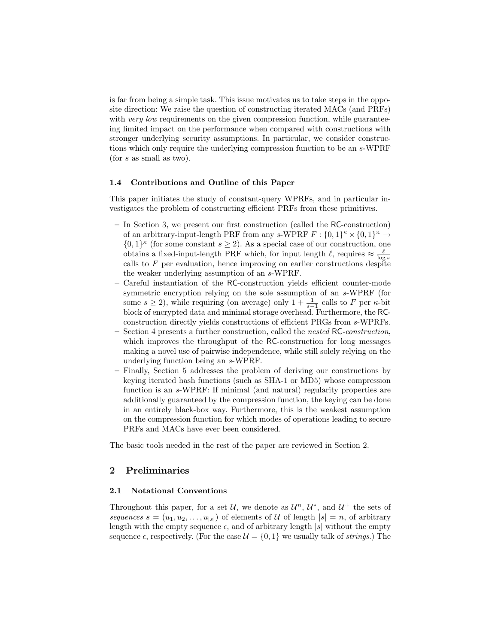is far from being a simple task. This issue motivates us to take steps in the opposite direction: We raise the question of constructing iterated MACs (and PRFs) with *very low* requirements on the given compression function, while guaranteeing limited impact on the performance when compared with constructions with stronger underlying security assumptions. In particular, we consider constructions which only require the underlying compression function to be an s-WPRF (for s as small as two).

### 1.4 Contributions and Outline of this Paper

This paper initiates the study of constant-query WPRFs, and in particular investigates the problem of constructing efficient PRFs from these primitives.

- In Section 3, we present our first construction (called the RC-construction) of an arbitrary-input-length PRF from any s-WPRF  $F: \{0,1\}^n \times \{0,1\}^n \rightarrow$  $\{0,1\}^{\kappa}$  (for some constant  $s \geq 2$ ). As a special case of our construction, one obtains a fixed-input-length PRF which, for input length  $\ell$ , requires  $\approx \frac{\ell}{\log s}$ calls to  $F$  per evaluation, hence improving on earlier constructions despite the weaker underlying assumption of an s-WPRF.
- Careful instantiation of the RC-construction yields efficient counter-mode symmetric encryption relying on the sole assumption of an s-WPRF (for some  $s \geq 2$ ), while requiring (on average) only  $1 + \frac{1}{s-1}$  calls to F per  $\kappa$ -bit block of encrypted data and minimal storage overhead. Furthermore, the RCconstruction directly yields constructions of efficient PRGs from s-WPRFs.
- Section 4 presents a further construction, called the nested RC-construction, which improves the throughput of the RC-construction for long messages making a novel use of pairwise independence, while still solely relying on the underlying function being an s-WPRF.
- Finally, Section 5 addresses the problem of deriving our constructions by keying iterated hash functions (such as SHA-1 or MD5) whose compression function is an s-WPRF: If minimal (and natural) regularity properties are additionally guaranteed by the compression function, the keying can be done in an entirely black-box way. Furthermore, this is the weakest assumption on the compression function for which modes of operations leading to secure PRFs and MACs have ever been considered.

The basic tools needed in the rest of the paper are reviewed in Section 2.

### 2 Preliminaries

### 2.1 Notational Conventions

Throughout this paper, for a set U, we denote as  $\mathcal{U}^n$ ,  $\mathcal{U}^*$ , and  $\mathcal{U}^+$  the sets of sequences  $s = (u_1, u_2, \dots, u_{|s|})$  of elements of U of length  $|s| = n$ , of arbitrary length with the empty sequence  $\epsilon$ , and of arbitrary length |s| without the empty sequence  $\epsilon$ , respectively. (For the case  $\mathcal{U} = \{0, 1\}$  we usually talk of *strings*.) The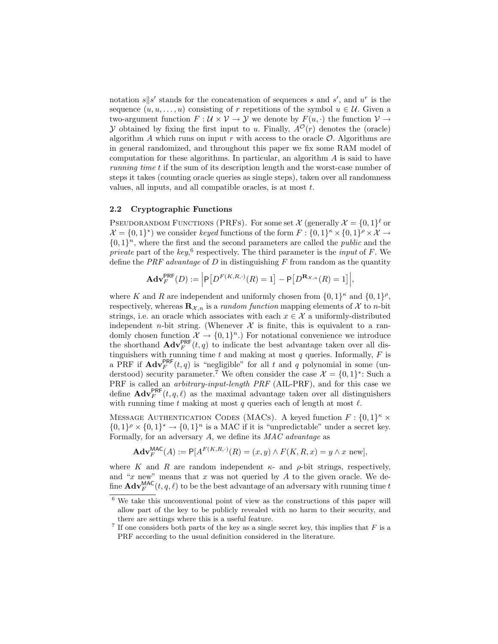notation  $s||s'$  stands for the concatenation of sequences s and s', and u' is the sequence  $(u, u, \ldots, u)$  consisting of r repetitions of the symbol  $u \in U$ . Given a two-argument function  $F: U \times V \to Y$  we denote by  $F(u, \cdot)$  the function  $V \to$ Y obtained by fixing the first input to u. Finally,  $A^{\mathcal{O}}(r)$  denotes the (oracle) algorithm A which runs on input r with access to the oracle  $\mathcal{O}$ . Algorithms are in general randomized, and throughout this paper we fix some RAM model of computation for these algorithms. In particular, an algorithm A is said to have running time t if the sum of its description length and the worst-case number of steps it takes (counting oracle queries as single steps), taken over all randomness values, all inputs, and all compatible oracles, is at most t.

### 2.2 Cryptographic Functions

PSEUDORANDOM FUNCTIONS (PRFS). For some set  $\mathcal{X}$  (generally  $\mathcal{X} = \{0,1\}^{\ell}$  or  $\mathcal{X} = \{0,1\}^*$  we consider keyed functions of the form  $F: \{0,1\}^{\kappa} \times \{0,1\}^{\rho} \times \mathcal{X} \to$  $\{0,1\}^n$ , where the first and the second parameters are called the *public* and the private part of the  $key$ <sup>6</sup> respectively. The third parameter is the *input* of  $F$ . We define the PRF advantage of D in distinguishing  $F$  from random as the quantity

$$
\mathbf{Adv}_{F}^{\mathsf{PRF}}(D) := \Big| \mathsf{P}\big[D^{F(K,R,\cdot)}(R) = 1\big] - \mathsf{P}\big[D^{\mathbf{R}_{\mathcal{X},n}}(R) = 1\big]\Big|,
$$

where K and R are independent and uniformly chosen from  $\{0,1\}^{\kappa}$  and  $\{0,1\}^{\rho}$ , respectively, whereas  $\mathbf{R}_{\chi,n}$  is a *random function* mapping elements of X to *n*-bit strings, i.e. an oracle which associates with each  $x \in \mathcal{X}$  a uniformly-distributed independent *n*-bit string. (Whenever  $\mathcal X$  is finite, this is equivalent to a randomly chosen function  $\mathcal{X} \to \{0,1\}^n$ .) For notational convenience we introduce the shorthand  $\mathbf{Adv}_{F}^{\mathsf{PRF}}(t,q)$  to indicate the best advantage taken over all distinguishers with running time  $t$  and making at most  $q$  queries. Informally,  $F$  is a PRF if  $\mathbf{Adv}_{F}^{\mathsf{PRF}}(t,q)$  is "negligible" for all t and q polynomial in some (understood) security parameter.<sup>7</sup> We often consider the case  $\mathcal{X} = \{0, 1\}^*$ : Such a PRF is called an *arbitrary-input-length PRF* (AIL-PRF), and for this case we define  $\mathbf{Adv}_{F}^{\mathsf{PRF}}(t, q, \ell)$  as the maximal advantage taken over all distinguishers with running time t making at most q queries each of length at most  $\ell$ .

MESSAGE AUTHENTICATION CODES (MACS). A keyed function  $F: \{0,1\}^{\kappa} \times$  $\{0,1\}^{\rho} \times \{0,1\}^* \to \{0,1\}^n$  is a MAC if it is "unpredictable" under a secret key. Formally, for an adversary  $A$ , we define its  $MAC$  advantage as

$$
\mathbf{Adv}_{F}^{\mathsf{MAC}}(A) := \mathsf{P}[A^{F(K,R,\cdot)}(R) = (x,y) \land F(K,R,x) = y \land x \text{ new}],
$$

where K and R are random independent  $\kappa$ - and  $\rho$ -bit strings, respectively, and "x new" means that x was not queried by  $A$  to the given oracle. We define  $\mathbf{Adv}_{F}^{\mathsf{MAC}}(t, q, \ell)$  to be the best advantage of an adversary with running time  $t$ 

 $6$  We take this unconventional point of view as the constructions of this paper will allow part of the key to be publicly revealed with no harm to their security, and there are settings where this is a useful feature.

<sup>&</sup>lt;sup>7</sup> If one considers both parts of the key as a single secret key, this implies that  $F$  is a PRF according to the usual definition considered in the literature.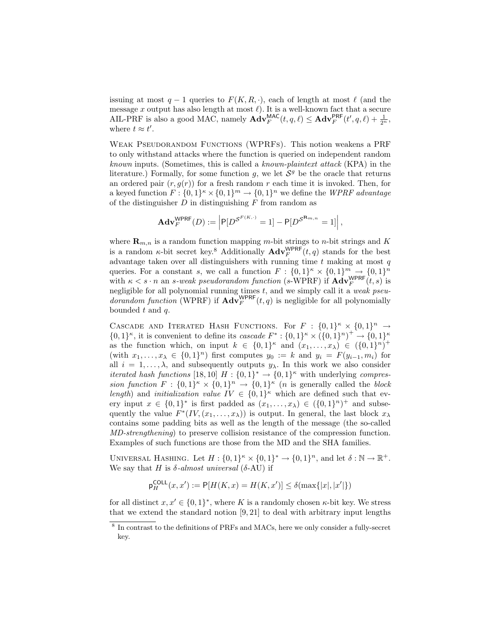issuing at most  $q - 1$  queries to  $F(K, R, \cdot)$ , each of length at most  $\ell$  (and the message x output has also length at most  $\ell$ ). It is a well-known fact that a secure AIL-PRF is also a good MAC, namely  $\mathbf{Adv}_{F}^{\mathsf{MAC}}(t, q, \ell) \leq \mathbf{Adv}_{F}^{\mathsf{PRF}}(t', q, \ell) + \frac{1}{2^n},$ where  $t \approx t'$ .

Weak Pseudorandom Functions (WPRFs). This notion weakens a PRF to only withstand attacks where the function is queried on independent random known inputs. (Sometimes, this is called a known-plaintext attack (KPA) in the literature.) Formally, for some function g, we let  $S<sup>g</sup>$  be the oracle that returns an ordered pair  $(r, g(r))$  for a fresh random r each time it is invoked. Then, for a keyed function  $F: \{0,1\}^n \times \{0,1\}^m \rightarrow \{0,1\}^n$  we define the *WPRF advantage* of the distinguisher  $D$  in distinguishing  $F$  from random as

$$
\mathbf{Adv}_{F}^{\mathsf{WPRF}}(D) := \left| \mathsf{P}[D^{\mathcal{S}^{F(K,\cdot)}}=1] - \mathsf{P}[D^{\mathcal{S}^{\mathbf{R}_{m,n}}}=1] \right|,
$$

where  $\mathbf{R}_{m,n}$  is a random function mapping m-bit strings to n-bit strings and K is a random  $\kappa$ -bit secret key.<sup>8</sup> Additionally  $\mathbf{Adv}_{F}^{\mathsf{WPRF}}(t,q)$  stands for the best advantage taken over all distinguishers with running time  $t$  making at most  $q$ queries. For a constant s, we call a function  $F: \{0,1\}^n \times \{0,1\}^m \rightarrow \{0,1\}^n$ with  $\kappa < s \cdot n$  an s-weak pseudorandom function (s-WPRF) if  $\mathbf{Adv}_{F}^{\text{WPRF}}(t, s)$  is negligible for all polynomial running times  $t$ , and we simply call it a weak pseu*dorandom function* (WPRF) if  $\mathbf{Adv}_{F}^{WPRF}(t,q)$  is negligible for all polynomially bounded  $t$  and  $q$ .

CASCADE AND ITERATED HASH FUNCTIONS. For  $F : \{0,1\}^n \times \{0,1\}^n \rightarrow$  $\{0,1\}^{\kappa}$ , it is convenient to define its *cascade*  $F^* : \{0,1\}^{\kappa} \times (\{0,1\}^n)^+ \rightarrow \{0,1\}^{\kappa}$ as the function which, on input  $k \in \{0,1\}^{\kappa}$  and  $(x_1,\ldots,x_{\lambda}) \in (\{0,1\}^n)^+$ (with  $x_1, \ldots, x_\lambda \in \{0,1\}^n$ ) first computes  $y_0 := k$  and  $y_i = F(y_{i-1}, m_i)$  for all  $i = 1, \ldots, \lambda$ , and subsequently outputs  $y_{\lambda}$ . In this work we also consider *iterated hash functions* [18, 10]  $H: \{0,1\}^* \to \{0,1\}^{\kappa}$  with underlying *compres*sion function  $F: \{0,1\}^n \times \{0,1\}^n \rightarrow \{0,1\}^n$  (*n* is generally called the block length) and initialization value  $IV \in \{0,1\}^{\kappa}$  which are defined such that every input  $x \in \{0,1\}^*$  is first padded as  $(x_1,\ldots,x_\lambda) \in (\{0,1\}^n)^+$  and subsequently the value  $F^*(IV, (x_1, \ldots, x_\lambda))$  is output. In general, the last block  $x_\lambda$ contains some padding bits as well as the length of the message (the so-called MD-strengthening) to preserve collision resistance of the compression function. Examples of such functions are those from the MD and the SHA families.

UNIVERSAL HASHING. Let  $H: \{0,1\}^{\kappa} \times \{0,1\}^* \to \{0,1\}^n$ , and let  $\delta : \mathbb{N} \to \mathbb{R}^+$ . We say that H is  $\delta$ -almost universal ( $\delta$ -AU) if

$$
\mathsf{p}^{\mathsf{COLL}}_H(x,x') := \mathsf{P}[H(K,x) = H(K,x')] \le \delta(\max\{|x|,|x'|\})
$$

for all distinct  $x, x' \in \{0, 1\}^*$ , where K is a randomly chosen  $\kappa$ -bit key. We stress that we extend the standard notion [9, 21] to deal with arbitrary input lengths

<sup>&</sup>lt;sup>8</sup> In contrast to the definitions of PRFs and MACs, here we only consider a fully-secret key.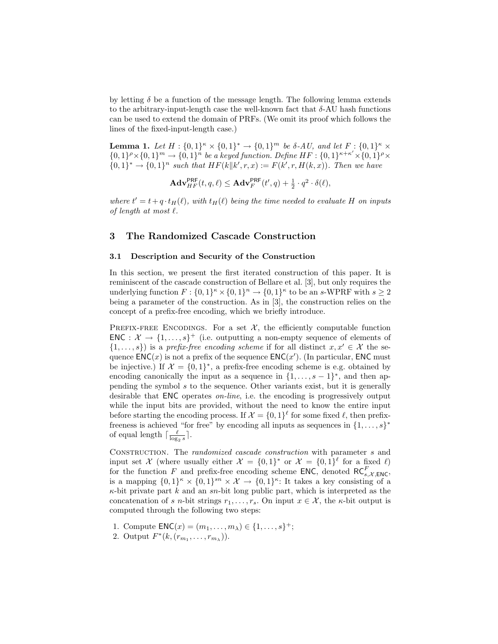by letting  $\delta$  be a function of the message length. The following lemma extends to the arbitrary-input-length case the well-known fact that  $\delta$ -AU hash functions can be used to extend the domain of PRFs. (We omit its proof which follows the lines of the fixed-input-length case.)

**Lemma 1.** Let  $H: \{0,1\}^k \times \{0,1\}^* \to \{0,1\}^m$  be  $\delta$ -AU, and let  $F: \{0,1\}^k \times$  $\{0,1\}^{\rho} \times \{0,1\}^m \to \{0,1\}^n$  be a keyed function. Define  $HF: \{0,1\}^{\kappa+\kappa'} \times \{0,1\}^{\rho} \times$  ${0,1}^* \to {0,1}^n$  such that  $HF(k||k', r, x) := F(k', r, H(k, x))$ . Then we have

$$
\mathbf{Adv}_{HF}^{\mathsf{PRF}}(t,q,\ell) \leq \mathbf{Adv}_{F}^{\mathsf{PRF}}(t',q) + \frac{1}{2} \cdot q^2 \cdot \delta(\ell),
$$

where  $t' = t + q \cdot t_H(\ell)$ , with  $t_H(\ell)$  being the time needed to evaluate H on inputs of length at most  $\ell$ .

# 3 The Randomized Cascade Construction

### 3.1 Description and Security of the Construction

In this section, we present the first iterated construction of this paper. It is reminiscent of the cascade construction of Bellare et al. [3], but only requires the underlying function  $F: \{0,1\}^n \times \{0,1\}^n \to \{0,1\}^n$  to be an s-WPRF with  $s \geq 2$ being a parameter of the construction. As in [3], the construction relies on the concept of a prefix-free encoding, which we briefly introduce.

PREFIX-FREE ENCODINGS. For a set  $\mathcal{X}$ , the efficiently computable function  $ENC: \mathcal{X} \to \{1,\ldots,s\}^+$  (i.e. outputting a non-empty sequence of elements of  $\{1,\ldots,s\}$  is a prefix-free encoding scheme if for all distinct  $x, x' \in \mathcal{X}$  the sequence  $\mathsf{ENC}(x)$  is not a prefix of the sequence  $\mathsf{ENC}(x')$ . (In particular, ENC must be injective.) If  $\mathcal{X} = \{0,1\}^*$ , a prefix-free encoding scheme is e.g. obtained by encoding canonically the input as a sequence in  $\{1, \ldots, s-1\}^*$ , and then appending the symbol  $s$  to the sequence. Other variants exist, but it is generally desirable that ENC operates on-line, i.e. the encoding is progressively output while the input bits are provided, without the need to know the entire input before starting the encoding process. If  $\mathcal{X} = \{0,1\}^{\ell}$  for some fixed  $\ell$ , then prefixfreeness is achieved "for free" by encoding all inputs as sequences in  $\{1, \ldots, s\}^*$ of equal length  $\lceil \frac{\ell}{\log_2 s} \rceil$ .

Construction. The randomized cascade construction with parameter s and input set X (where usually either  $\mathcal{X} = \{0,1\}^*$  or  $\mathcal{X} = \{0,1\}^{\ell}$  for a fixed  $\ell$ ) for the function F and prefix-free encoding scheme ENC, denoted  $\mathsf{RC}_{s,\mathcal{X},\mathsf{ENC}}^F$ , is a mapping  $\{0,1\}^k \times \{0,1\}^{sn} \times \mathcal{X} \to \{0,1\}^k$ : It takes a key consisting of a  $\kappa$ -bit private part k and an sn-bit long public part, which is interpreted as the concatenation of s n-bit strings  $r_1, \ldots, r_s$ . On input  $x \in \mathcal{X}$ , the  $\kappa$ -bit output is computed through the following two steps:

- 1. Compute  $ENC(x) = (m_1, ..., m_\lambda) \in \{1, ..., s\}^+;$
- 2. Output  $F^*(k, (r_{m_1}, \ldots, r_{m_\lambda}))$ .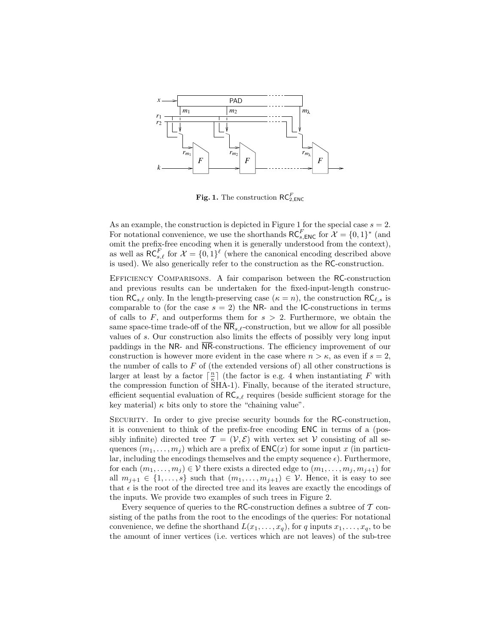

Fig. 1. The construction  $\mathsf{RC}_{2,\mathsf{ENC}}^F$ 

As an example, the construction is depicted in Figure 1 for the special case  $s = 2$ . For notational convenience, we use the shorthands  $\mathsf{RC}_{s,\mathsf{ENC}}^F$  for  $\mathcal{X} = \{0,1\}^*$  (and omit the prefix-free encoding when it is generally understood from the context), as well as  $\mathsf{RC}_{s,\ell}^F$  for  $\mathcal{X} = \{0,1\}^{\ell}$  (where the canonical encoding described above is used). We also generically refer to the construction as the RC-construction.

Efficiency Comparisons. A fair comparison between the RC-construction and previous results can be undertaken for the fixed-input-length construction RC<sub>s, $\ell$ </sub> only. In the length-preserving case ( $\kappa = n$ ), the construction RC<sub> $\ell$ ,s</sub> is comparable to (for the case  $s = 2$ ) the NR- and the IC-constructions in terms of calls to  $F$ , and outperforms them for  $s > 2$ . Furthermore, we obtain the same space-time trade-off of the  $\overline{\text{NR}}_{s,\ell}$ -construction, but we allow for all possible values of s. Our construction also limits the effects of possibly very long input paddings in the NR- and  $\overline{\text{NR}}$ -constructions. The efficiency improvement of our construction is however more evident in the case where  $n > \kappa$ , as even if  $s = 2$ , the number of calls to  $F$  of (the extended versions of) all other constructions is larger at least by a factor  $\lceil \frac{n}{\kappa} \rceil$  (the factor is e.g. 4 when instantiating F with the compression function of SHA-1). Finally, because of the iterated structure, efficient sequential evaluation of  $RC_{s,\ell}$  requires (beside sufficient storage for the key material)  $\kappa$  bits only to store the "chaining value".

Security. In order to give precise security bounds for the RC-construction, it is convenient to think of the prefix-free encoding ENC in terms of a (possibly infinite) directed tree  $\mathcal{T} = (\mathcal{V}, \mathcal{E})$  with vertex set V consisting of all sequences  $(m_1, \ldots, m_i)$  which are a prefix of  $\mathsf{ENC}(x)$  for some input x (in particular, including the encodings themselves and the empty sequence  $\epsilon$ ). Furthermore, for each  $(m_1, \ldots, m_j) \in \mathcal{V}$  there exists a directed edge to  $(m_1, \ldots, m_j, m_{j+1})$  for all  $m_{j+1} \in \{1, \ldots, s\}$  such that  $(m_1, \ldots, m_{j+1}) \in \mathcal{V}$ . Hence, it is easy to see that  $\epsilon$  is the root of the directed tree and its leaves are exactly the encodings of the inputs. We provide two examples of such trees in Figure 2.

Every sequence of queries to the RC-construction defines a subtree of  $\mathcal T$  consisting of the paths from the root to the encodings of the queries: For notational convenience, we define the shorthand  $L(x_1, \ldots, x_q)$ , for q inputs  $x_1, \ldots, x_q$ , to be the amount of inner vertices (i.e. vertices which are not leaves) of the sub-tree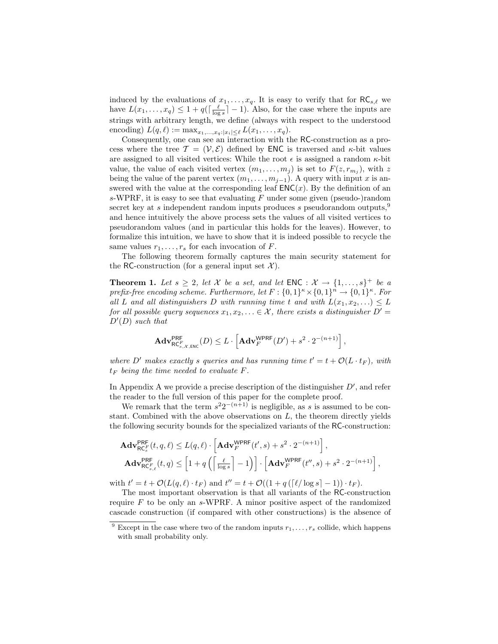induced by the evaluations of  $x_1, \ldots, x_q$ . It is easy to verify that for  $\mathsf{RC}_{s,\ell}$  we have  $L(x_1, \ldots, x_q) \leq 1 + q(\lceil \frac{\ell}{\log s} \rceil - 1)$ . Also, for the case where the inputs are strings with arbitrary length, we define (always with respect to the understood encoding)  $L(q, \ell) := \max_{x_1, ..., x_q: |x_i| \leq \ell} L(x_1, ..., x_q).$ 

Consequently, one can see an interaction with the RC-construction as a process where the tree  $\mathcal{T} = (\mathcal{V}, \mathcal{E})$  defined by **ENC** is traversed and  $\kappa$ -bit values are assigned to all visited vertices: While the root  $\epsilon$  is assigned a random  $\kappa$ -bit value, the value of each visited vertex  $(m_1, \ldots, m_j)$  is set to  $F(z, r_{m_j})$ , with z being the value of the parent vertex  $(m_1, \ldots, m_{j-1})$ . A query with input x is answered with the value at the corresponding leaf  $ENC(x)$ . By the definition of an s-WPRF, it is easy to see that evaluating  $F$  under some given (pseudo-)random secret key at s independent random inputs produces s pseudorandom outputs,  $9$ and hence intuitively the above process sets the values of all visited vertices to pseudorandom values (and in particular this holds for the leaves). However, to formalize this intuition, we have to show that it is indeed possible to recycle the same values  $r_1, \ldots, r_s$  for each invocation of F.

The following theorem formally captures the main security statement for the RC-construction (for a general input set  $\mathcal{X}$ ).

**Theorem 1.** Let  $s \geq 2$ , let  $\mathcal{X}$  be a set, and let  $\mathsf{ENC}: \mathcal{X} \to \{1,\ldots,s\}^+$  be a prefix-free encoding scheme. Furthermore, let  $F: \{0,1\}^{\kappa} \times \{0,1\}^n \to \{0,1\}^{\kappa}$ . For all L and all distinguishers D with running time t and with  $L(x_1, x_2, ...) \leq L$ for all possible query sequences  $x_1, x_2, \ldots \in \mathcal{X}$ , there exists a distinguisher  $D' =$  $D'(D)$  such that

$$
\mathbf{Adv}_{\mathsf{RC}_{s,\mathcal{X},\mathsf{ENC}}^{\mathsf{PRF}}}(D) \leq L\cdot \left[\mathbf{Adv}_{F}^{\mathsf{WPRF}}(D') + s^2 \cdot 2^{-(n+1)}\right],
$$

where D' makes exactly s queries and has running time  $t' = t + \mathcal{O}(L \cdot t_F)$ , with  $t_F$  being the time needed to evaluate  $F$ .

In Appendix A we provide a precise description of the distinguisher  $D'$ , and refer the reader to the full version of this paper for the complete proof.

We remark that the term  $s^2 2^{-(n+1)}$  is negligible, as s is assumed to be constant. Combined with the above observations on  $L$ , the theorem directly yields the following security bounds for the specialized variants of the RC-construction:

$$
\mathbf{Adv}_{\mathsf{RC}_s^F}^{\mathsf{PRF}}(t, q, \ell) \le L(q, \ell) \cdot \left[ \mathbf{Adv}_{F}^{\mathsf{WPRF}}(t', s) + s^2 \cdot 2^{-(n+1)} \right],
$$
\n
$$
\mathbf{Adv}_{\mathsf{RC}_{s, \ell}}^{\mathsf{PRF}}(t, q) \le \left[ 1 + q \left( \left\lceil \frac{\ell}{\log s} \right\rceil - 1 \right) \right] \cdot \left[ \mathbf{Adv}_{F}^{\mathsf{WPRF}}(t'', s) + s^2 \cdot 2^{-(n+1)} \right],
$$

with  $t' = t + \mathcal{O}(L(q, \ell) \cdot t_F)$  and  $t'' = t + \mathcal{O}((1 + q(\lceil \ell / \log s \rceil - 1)) \cdot t_F)$ .

The most important observation is that all variants of the RC-construction require  $F$  to be only an  $s$ -WPRF. A minor positive aspect of the randomized cascade construction (if compared with other constructions) is the absence of

<sup>&</sup>lt;sup>9</sup> Except in the case where two of the random inputs  $r_1, \ldots, r_s$  collide, which happens with small probability only.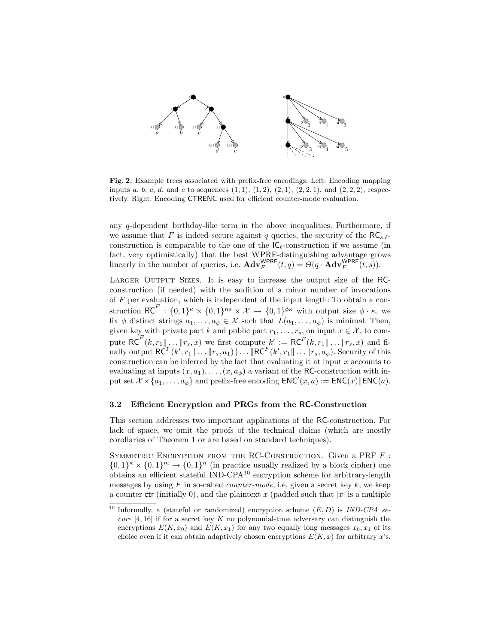

Fig. 2. Example trees associated with prefix-free encodings. Left: Encoding mapping inputs a, b, c, d, and e to sequences  $(1, 1), (1, 2), (2, 1), (2, 2, 1),$  and  $(2, 2, 2),$  respectively. Right: Encoding CTRENC used for efficient counter-mode evaluation.

any q-dependent birthday-like term in the above inequalities. Furthermore, if we assume that F is indeed secure against q queries, the security of the  $RC_{s,\ell}$ construction is comparable to the one of the  $IC_{\ell}$ -construction if we assume (in fact, very optimistically) that the best WPRF-distinguishing advantage grows linearly in the number of queries, i.e.  $\mathbf{Adv}_{F}^{\mathsf{WPRF}}(t,q) = \Theta(q \cdot \mathbf{Adv}_{F}^{\mathsf{WPRF}}(t,s)).$ 

Larger Output Sizes. It is easy to increase the output size of the RCconstruction (if needed) with the addition of a minor number of invocations of  $F$  per evaluation, which is independent of the input length: To obtain a construction  $\overline{\text{RC}}^F : \{0,1\}^{\kappa} \times \{0,1\}^{ns} \times \mathcal{X} \to \{0,1\}^{\phi\kappa}$  with output size  $\phi \cdot \kappa$ , we fix  $\phi$  distinct strings  $a_1, \ldots, a_{\phi} \in \mathcal{X}$  such that  $L(a_1, \ldots, a_{\phi})$  is minimal. Then, given key with private part k and public part  $r_1, \ldots, r_s$ , on input  $x \in \mathcal{X}$ , to compute  $\overline{\text{RC}}^F(k,r_1\|\ldots\|r_s,x)$  we first compute  $k' := \text{RC}^F(k,r_1\|\ldots\|r_s,x)$  and fi- $\text{null}\{ \text{output RC}^F(k', r_1\|\dots\|r_s, a_1)\|\dots\|\text{RC}^F(k', r_1\|\dots\|r_s, a_\phi). \text{ Security of this}\}$ construction can be inferred by the fact that evaluating it at input  $x$  accounts to evaluating at inputs  $(x, a_1), \ldots, (x, a_{\phi})$  a variant of the RC-construction with input set  $\mathcal{X} \times \{a_1, \ldots, a_{\phi}\}\$  and prefix-free encoding  $\mathsf{ENC}'(x, a) := \mathsf{ENC}(x) \|\mathsf{ENC}(a)$ .

# 3.2 Efficient Encryption and PRGs from the RC-Construction

This section addresses two important applications of the RC-construction. For lack of space, we omit the proofs of the technical claims (which are mostly corollaries of Theorem 1 or are based on standard techniques).

SYMMETRIC ENCRYPTION FROM THE RC-CONSTRUCTION. Given a PRF  $F$ :  $\{0,1\}^{\kappa} \times \{0,1\}^m \to \{0,1\}^n$  (in practice usually realized by a block cipher) one obtains an efficient stateful IND-CPA<sup>10</sup> encryption scheme for arbitrary-length messages by using F in so-called *counter-mode*, i.e. given a secret key k, we keep a counter ctr (initially 0), and the plaintext x (padded such that  $|x|$  is a multiple

<sup>&</sup>lt;sup>10</sup> Informally, a (stateful or randomized) encryption scheme  $(E, D)$  is *IND-CPA se*cure  $[4, 16]$  if for a secret key K no polynomial-time adversary can distinguish the encryptions  $E(K, x_0)$  and  $E(K, x_1)$  for any two equally long messages  $x_0, x_1$  of its choice even if it can obtain adaptively chosen encryptions  $E(K, x)$  for arbitrary x's.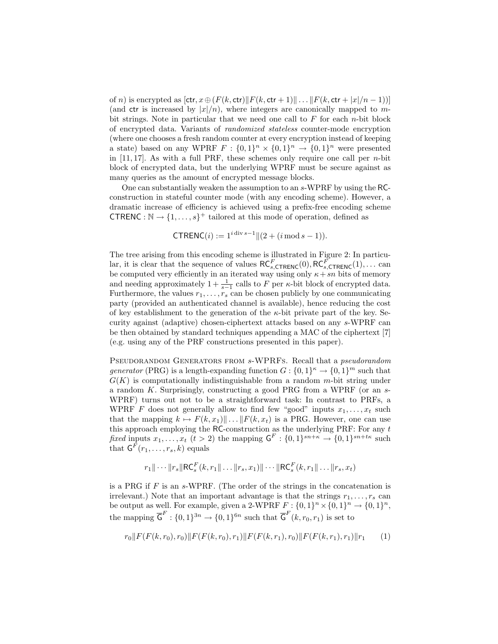of n) is encrypted as  $[\text{ctr}, x \oplus (F(k, \text{ctr}) || F(k, \text{ctr} + 1) || \dots || F(k, \text{ctr} + |x|/n - 1))]$ (and ctr is increased by  $|x|/n$ ), where integers are canonically mapped to mbit strings. Note in particular that we need one call to  $F$  for each n-bit block of encrypted data. Variants of randomized stateless counter-mode encryption (where one chooses a fresh random counter at every encryption instead of keeping a state) based on any WPRF  $F: \{0,1\}^n \times \{0,1\}^n \rightarrow \{0,1\}^n$  were presented in [11, 17]. As with a full PRF, these schemes only require one call per *n*-bit block of encrypted data, but the underlying WPRF must be secure against as many queries as the amount of encrypted message blocks.

One can substantially weaken the assumption to an s-WPRF by using the RCconstruction in stateful counter mode (with any encoding scheme). However, a dramatic increase of efficiency is achieved using a prefix-free encoding scheme **CTRENC**:  $\mathbb{N} \to \{1, \ldots, s\}^+$  tailored at this mode of operation, defined as

$$
\mathsf{CTRENC}(i) := 1^{i \operatorname{div} s - 1} \|(2 + (i \operatorname{mod} s - 1)).
$$

The tree arising from this encoding scheme is illustrated in Figure 2: In particular, it is clear that the sequence of values  $\mathsf{RC}_{s,\mathsf{CTRENC}}^F(0), \mathsf{RC}_{s,\mathsf{CTRENC}}^F(1), \ldots$  can be computed very efficiently in an iterated way using only  $\kappa + s_n$  bits of memory and needing approximately  $1 + \frac{1}{s-1}$  calls to F per  $\kappa$ -bit block of encrypted data. Furthermore, the values  $r_1, \ldots, r_s$  can be chosen publicly by one communicating party (provided an authenticated channel is available), hence reducing the cost of key establishment to the generation of the  $\kappa$ -bit private part of the key. Security against (adaptive) chosen-ciphertext attacks based on any s-WPRF can be then obtained by standard techniques appending a MAC of the ciphertext [7] (e.g. using any of the PRF constructions presented in this paper).

PSEUDORANDOM GENERATORS FROM s-WPRFS. Recall that a *pseudorandom* generator (PRG) is a length-expanding function  $G: \{0,1\}^{\kappa} \to \{0,1\}^m$  such that  $G(K)$  is computationally indistinguishable from a random m-bit string under a random K. Surprisingly, constructing a good PRG from a WPRF (or an  $s$ -WPRF) turns out not to be a straightforward task: In contrast to PRFs, a WPRF F does not generally allow to find few "good" inputs  $x_1, \ldots, x_t$  such that the mapping  $k \mapsto F(k, x_1)\|\ldots\|F(k, x_t)$  is a PRG. However, one can use this approach employing the RC-construction as the underlying PRF: For any  $t$ fixed inputs  $x_1, \ldots, x_t$   $(t > 2)$  the mapping  $\mathsf{G}^F : \{0,1\}^{sn+\kappa} \to \{0,1\}^{sn+t\kappa}$  such that  ${\sf G}^F(r_1,\ldots,r_s,k)$  equals

$$
r_1 || \cdots ||r_s|| RC_s^F(k, r_1 || \ldots ||r_s, x_1)|| \cdots ||RC_s^F(k, r_1 || \ldots ||r_s, x_t)
$$

is a PRG if  $F$  is an  $s$ -WPRF. (The order of the strings in the concatenation is irrelevant.) Note that an important advantage is that the strings  $r_1, \ldots, r_s$  can be output as well. For example, given a 2-WPRF  $F: \{0,1\}^n \times \{0,1\}^n \rightarrow \{0,1\}^n$ , the mapping  $\overline{\mathsf{G}}^F : \{0,1\}^{3n} \to \{0,1\}^{6n}$  such that  $\overline{\mathsf{G}}^F(k,r_0,r_1)$  is set to

$$
r_0||F(F(k, r_0), r_0)||F(F(k, r_0), r_1)||F(F(k, r_1), r_0)||F(F(k, r_1), r_1)||r_1 \qquad (1)
$$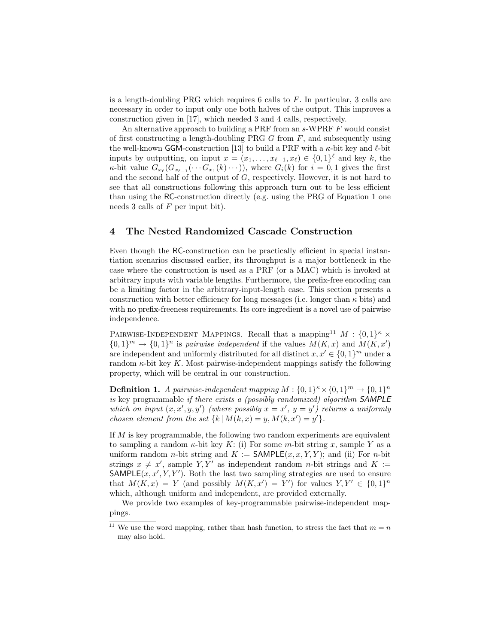is a length-doubling PRG which requires 6 calls to F. In particular, 3 calls are necessary in order to input only one both halves of the output. This improves a construction given in [17], which needed 3 and 4 calls, respectively.

An alternative approach to building a PRF from an  $s$ -WPRF  $F$  would consist of first constructing a length-doubling PRG  $G$  from  $F$ , and subsequently using the well-known GGM-construction [13] to build a PRF with a  $\kappa$ -bit key and  $\ell$ -bit inputs by outputting, on input  $x = (x_1, \ldots, x_{\ell-1}, x_{\ell}) \in \{0, 1\}^{\ell}$  and key k, the  $\kappa$ -bit value  $G_{x_\ell}(G_{x_{\ell-1}}(\cdots G_{x_1}(k)\cdots))$ , where  $G_i(k)$  for  $i=0,1$  gives the first and the second half of the output of  $G$ , respectively. However, it is not hard to see that all constructions following this approach turn out to be less efficient than using the RC-construction directly (e.g. using the PRG of Equation 1 one needs 3 calls of  $F$  per input bit).

# 4 The Nested Randomized Cascade Construction

Even though the RC-construction can be practically efficient in special instantiation scenarios discussed earlier, its throughput is a major bottleneck in the case where the construction is used as a PRF (or a MAC) which is invoked at arbitrary inputs with variable lengths. Furthermore, the prefix-free encoding can be a limiting factor in the arbitrary-input-length case. This section presents a construction with better efficiency for long messages (i.e. longer than  $\kappa$  bits) and with no prefix-freeness requirements. Its core ingredient is a novel use of pairwise independence.

PAIRWISE-INDEPENDENT MAPPINGS. Recall that a mapping<sup>11</sup>  $M : \{0,1\}^{\kappa} \times$  ${0,1}^m \to {0,1}^n$  is pairwise independent if the values  $M(K, x)$  and  $M(K, x')$ are independent and uniformly distributed for all distinct  $x, x' \in \{0, 1\}^m$  under a random  $\kappa$ -bit key K. Most pairwise-independent mappings satisfy the following property, which will be central in our construction.

**Definition 1.** A pairwise-independent mapping  $M : \{0,1\}^n \times \{0,1\}^m \rightarrow \{0,1\}^n$ is key programmable if there exists a (possibly randomized) algorithm SAMPLE which on input  $(x, x', y, y')$  (where possibly  $x = x', y = y'$ ) returns a uniformly chosen element from the set  $\{k | M(k, x) = y, M(k, x') = y'\}.$ 

If M is key programmable, the following two random experiments are equivalent to sampling a random  $\kappa$ -bit key K: (i) For some m-bit string x, sample Y as a uniform random *n*-bit string and  $K := \textsf{SAMPLE}(x, x, Y, Y)$ ; and (ii) For *n*-bit strings  $x \neq x'$ , sample Y, Y' as independent random n-bit strings and K := SAMPLE $(x, x', Y, Y')$ . Both the last two sampling strategies are used to ensure that  $M(K, x) = Y$  (and possibly  $M(K, x') = Y'$ ) for values  $Y, Y' \in \{0, 1\}^n$ which, although uniform and independent, are provided externally.

We provide two examples of key-programmable pairwise-independent mappings.

<sup>&</sup>lt;sup>11</sup> We use the word mapping, rather than hash function, to stress the fact that  $m = n$ may also hold.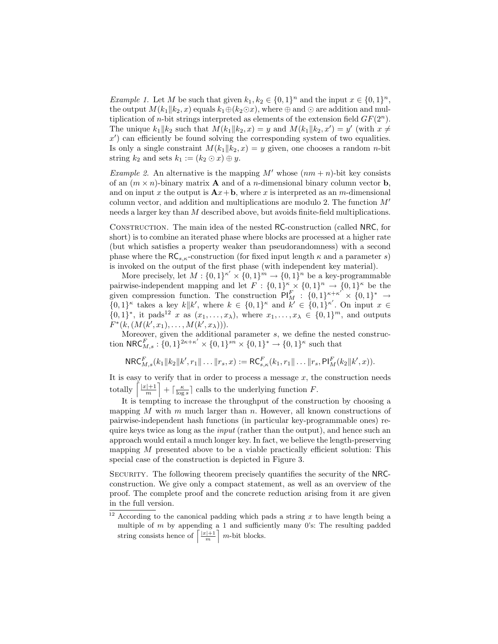*Example 1.* Let M be such that given  $k_1, k_2 \in \{0, 1\}^n$  and the input  $x \in \{0, 1\}^n$ , the output  $M(k_1|| k_2, x)$  equals  $k_1 \oplus (k_2 \odot x)$ , where  $\oplus$  and  $\odot$  are addition and multiplication of *n*-bit strings interpreted as elements of the extension field  $GF(2<sup>n</sup>)$ . The unique  $k_1||k_2$  such that  $M(k_1||k_2, x) = y$  and  $M(k_1||k_2, x') = y'$  (with  $x \neq$  $x'$ ) can efficiently be found solving the corresponding system of two equalities. Is only a single constraint  $M(k_1||k_2, x) = y$  given, one chooses a random *n*-bit string  $k_2$  and sets  $k_1 := (k_2 \odot x) \oplus y$ .

*Example 2.* An alternative is the mapping  $M'$  whose  $(nm + n)$ -bit key consists of an  $(m \times n)$ -binary matrix **A** and of a *n*-dimensional binary column vector **b**, and on input x the output is  $A x + b$ , where x is interpreted as an m-dimensional column vector, and addition and multiplications are modulo 2. The function  $M'$ needs a larger key than M described above, but avoids finite-field multiplications.

Construction. The main idea of the nested RC-construction (called NRC, for short) is to combine an iterated phase where blocks are processed at a higher rate (but which satisfies a property weaker than pseudorandomness) with a second phase where the  $\mathsf{RC}_{s,\kappa}$ -construction (for fixed input length  $\kappa$  and a parameter s) is invoked on the output of the first phase (with independent key material).

More precisely, let  $M: \{0,1\}^{\kappa'} \times \{0,1\}^m \to \{0,1\}^n$  be a key-programmable pairwise-independent mapping and let  $F: \{0,1\}^{\kappa} \times \{0,1\}^n \to \{0,1\}^{\kappa}$  be the given compression function. The construction  $\mathsf{PI}_{M}^{F}$  :  $\{0,1\}^{k+k'} \times \{0,1\}^{*}$   $\rightarrow$  $\{0,1\}^{\kappa}$  takes a key  $k||k'$ , where  $k \in \{0,1\}^{\kappa}$  and  $k' \in \{0,1\}^{\kappa'}$ . On input  $x \in$  $\{0,1\}^*$ , it pads<sup>12</sup> x as  $(x_1,\ldots,x_\lambda)$ , where  $x_1,\ldots,x_\lambda \in \{0,1\}^m$ , and outputs  $F^*(k, (M(k', x_1), \ldots, M(k', x_\lambda))).$ 

Moreover, given the additional parameter s, we define the nested construction  $\mathsf{NRC}_{M,s}^F: \{0,1\}^{2\kappa+\kappa'} \times \{0,1\}^{sn} \times \{0,1\}^* \to \{0,1\}^{\kappa}$  such that

$$
\mathrm{NRC}_{M,s}^F(k_1\|k_2\|k', r_1\|\ldots\|r_s, x) := \mathrm{RC}_{s,\kappa}^F(k_1, r_1\|\ldots\|r_s, \mathrm{PI}_{M}^F(k_2\|k', x)).
$$

It is easy to verify that in order to process a message  $x$ , the construction needs totally  $\left\lceil \frac{|x|+1}{m} \right\rceil$  $\left[\frac{n+1}{m}\right] + \left[\frac{\kappa}{\log s}\right]$  calls to the underlying function F.

It is tempting to increase the throughput of the construction by choosing a mapping  $M$  with  $m$  much larger than  $n$ . However, all known constructions of pairwise-independent hash functions (in particular key-programmable ones) require keys twice as long as the *input* (rather than the output), and hence such an approach would entail a much longer key. In fact, we believe the length-preserving mapping M presented above to be a viable practically efficient solution: This special case of the construction is depicted in Figure 3.

Security. The following theorem precisely quantifies the security of the NRCconstruction. We give only a compact statement, as well as an overview of the proof. The complete proof and the concrete reduction arising from it are given in the full version.

 $12$  According to the canonical padding which pads a string x to have length being a multiple of  $m$  by appending a 1 and sufficiently many 0's: The resulting padded string consists hence of  $\left\lceil \frac{|x|+1}{m} \right\rceil$  *m*-bit blocks.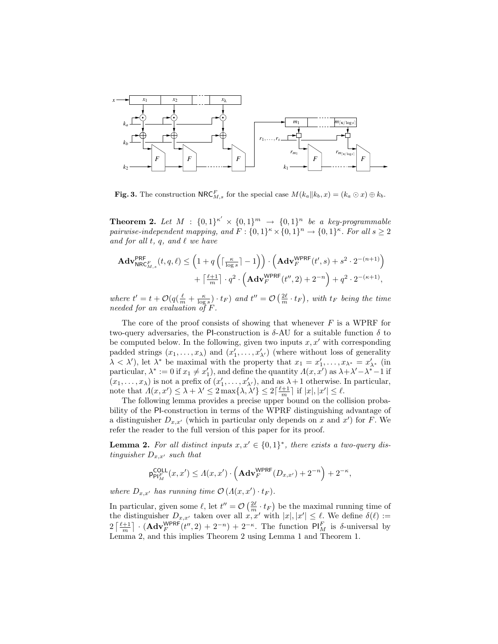

**Fig. 3.** The construction  $\mathsf{NRC}_{M,s}^F$  for the special case  $M(k_a||k_b, x) = (k_a \odot x) \oplus k_b$ .

**Theorem 2.** Let  $M$  :  $\{0,1\}^{\kappa'} \times \{0,1\}^m$   $\rightarrow$   $\{0,1\}^n$  be a key-programmable pairwise-independent mapping, and  $F: \{0,1\}^{\kappa} \times \{0,1\}^n \to \{0,1\}^{\kappa}$ . For all  $s \geq 2$ and for all  $t, q,$  and  $\ell$  we have

$$
\begin{aligned} \mathbf{Adv}_{\mathsf{NRC}_{M,s}^{F}}^{\mathsf{PRF}}(t,q,\ell) & \leq \left(1+q\left(\lceil \tfrac{\kappa}{\log s} \rceil-1\right)\right)\cdot \left(\mathbf{Adv}_{F}^{\mathsf{WPRF}}(t',s)+s^2\cdot 2^{-(n+1)}\right) \\ & + \left\lceil \tfrac{\ell+1}{m} \right\rceil \cdot q^2\cdot \left(\mathbf{Adv}_{F}^{\mathsf{WPRF}}(t'',2)+2^{-n}\right)+q^2\cdot 2^{-(\kappa+1)}, \end{aligned}
$$

where  $t' = t + \mathcal{O}(q(\frac{\ell}{m} + \frac{\kappa}{\log s}) \cdot t_F)$  and  $t'' = \mathcal{O}(\frac{2\ell}{m} \cdot t_F)$ , with  $t_F$  being the time needed for an evaluation of F.

The core of the proof consists of showing that whenever  $F$  is a WPRF for two-query adversaries, the PI-construction is δ-AU for a suitable function δ to be computed below. In the following, given two inputs  $x, x'$  with corresponding padded strings  $(x_1, \ldots, x_\lambda)$  and  $(x'_1, \ldots, x'_{\lambda'})$  (where without loss of generality  $\lambda < \lambda'$ ), let  $\lambda^*$  be maximal with the property that  $x_1 = x'_1, \ldots, x_{\lambda^*} = x'_{\lambda^*}$  (in particular,  $\lambda^* := 0$  if  $x_1 \neq x_1'$ , and define the quantity  $\Lambda(x, x')$  as  $\lambda + \lambda' - \lambda^* - 1$  if  $(x_1, \ldots, x_\lambda)$  is not a prefix of  $(x'_1, \ldots, x'_{\lambda'})$ , and as  $\lambda + 1$  otherwise. In particular, note that  $\Lambda(x, x') \leq \lambda + \lambda' \leq 2 \max\{\lambda, \lambda'\} \leq 2\lceil \frac{\ell+1}{m} \rceil$  if  $|x|, |x'| \leq \ell$ .

The following lemma provides a precise upper bound on the collision probability of the PI-construction in terms of the WPRF distinguishing advantage of a distinguisher  $D_{x,x'}$  (which in particular only depends on x and x') for F. We refer the reader to the full version of this paper for its proof.

**Lemma 2.** For all distinct inputs  $x, x' \in \{0, 1\}^*$ , there exists a two-query distinguisher  $D_{x,x'}$  such that

$$
\mathsf{p}_{\mathsf{PI}^F_M}^{\mathsf{COLL}}(x,x') \leq A(x,x')\cdot \left(\mathbf{Adv}_{F}^{\mathsf{WPRF}}(D_{x,x'})+2^{-n}\right)+2^{-\kappa},
$$

where  $D_{x,x'}$  has running time  $\mathcal{O}(\Lambda(x,x') \cdot t_F)$ .

In particular, given some  $\ell$ , let  $t'' = \mathcal{O}\left(\frac{2\ell}{m} \cdot t_F\right)$  be the maximal running time of the distinguisher  $D_{x,x'}$  taken over all  $x,x'$  with  $|x|, |x'| \leq \ell$ . We define  $\delta(\ell) :=$  $2\left[\frac{\ell+1}{m}\right] \cdot (\mathbf{Adv}_{F}^{WPRF}(t'', 2) + 2^{-n}) + 2^{-\kappa}$ . The function  $\mathsf{Pl}_{M}^{F}$  is  $\delta$ -universal by Lemma 2, and this implies Theorem 2 using Lemma 1 and Theorem 1.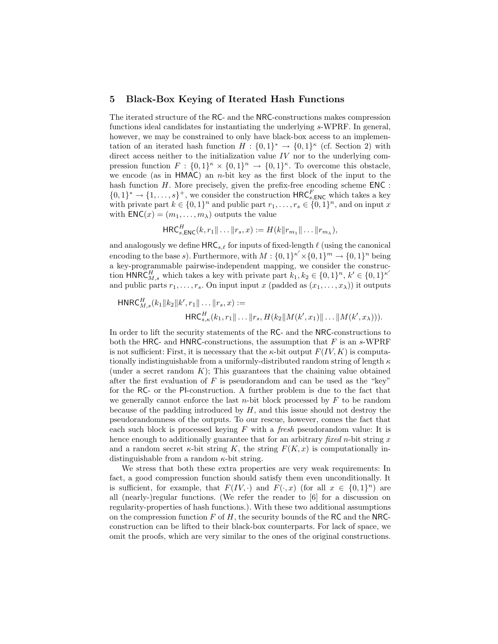### 5 Black-Box Keying of Iterated Hash Functions

The iterated structure of the RC- and the NRC-constructions makes compression functions ideal candidates for instantiating the underlying s-WPRF. In general, however, we may be constrained to only have black-box access to an implementation of an iterated hash function  $H: \{0,1\}^* \to \{0,1\}^{\kappa}$  (cf. Section 2) with direct access neither to the initialization value  $IV$  nor to the underlying compression function  $F: \{0,1\}^n \times \{0,1\}^n \to \{0,1\}^n$ . To overcome this obstacle, we encode (as in HMAC) an *n*-bit key as the first block of the input to the hash function  $H$ . More precisely, given the prefix-free encoding scheme  $ENC$ :  $\{0,1\}^* \to \{1,\ldots,s\}^+$ , we consider the construction  $\text{HRC}_{s, \text{ENC}}^F$  which takes a key with private part  $k \in \{0,1\}^n$  and public part  $r_1, \ldots, r_s \in \{0,1\}^n$ , and on input x with  $ENC(x) = (m_1, \ldots, m_\lambda)$  outputs the value

$$
\mathsf{HRC}_{s,\mathsf{ENC}}^H(k,r_1\|\ldots\|r_s,x) := H(k\|r_{m_1}\|\ldots\|r_{m_\lambda}),
$$

and analogously we define  $HRC_{s,\ell}$  for inputs of fixed-length  $\ell$  (using the canonical encoding to the base s). Furthermore, with  $M: \{0,1\}^{\kappa'} \times \{0,1\}^m \to \{0,1\}^n$  being a key-programmable pairwise-independent mapping, we consider the construction HNRC $_{M,s}^H$  which takes a key with private part  $k_1, k_2 \in \{0,1\}^n$ ,  $k' \in \{0,1\}^{\kappa'}$ and public parts  $r_1, \ldots, r_s$ . On input input x (padded as  $(x_1, \ldots, x_\lambda)$ ) it outputs

$$
\begin{aligned} \mathsf{HNRC}_{M,s}^H(k_1 \| k_2 \| k', r_1 \| \dots \| r_s, x) &:= \\ &\mathsf{HRC}_{s,\kappa}^H(k_1, r_1 \| \dots \| r_s, H(k_2 \| M(k', x_1) \| \dots \| M(k', x_\lambda))). \end{aligned}
$$

In order to lift the security statements of the RC- and the NRC-constructions to both the HRC- and HNRC-constructions, the assumption that  $F$  is an  $s$ -WPRF is not sufficient: First, it is necessary that the  $\kappa$ -bit output  $F(IV, K)$  is computationally indistinguishable from a uniformly-distributed random string of length  $\kappa$ (under a secret random  $K$ ); This guarantees that the chaining value obtained after the first evaluation of  $F$  is pseudorandom and can be used as the "key" for the RC- or the PI-construction. A further problem is due to the fact that we generally cannot enforce the last *n*-bit block processed by  $F$  to be random because of the padding introduced by  $H$ , and this issue should not destroy the pseudorandomness of the outputs. To our rescue, however, comes the fact that each such block is processed keying  $F$  with a *fresh* pseudorandom value: It is hence enough to additionally guarantee that for an arbitrary fixed n-bit string  $x$ and a random secret  $\kappa$ -bit string K, the string  $F(K, x)$  is computationally indistinguishable from a random  $\kappa$ -bit string.

We stress that both these extra properties are very weak requirements: In fact, a good compression function should satisfy them even unconditionally. It is sufficient, for example, that  $F(IV, \cdot)$  and  $F(\cdot, x)$  (for all  $x \in \{0, 1\}^n$ ) are all (nearly-)regular functions. (We refer the reader to [6] for a discussion on regularity-properties of hash functions.). With these two additional assumptions on the compression function  $F$  of  $H$ , the security bounds of the RC and the NRCconstruction can be lifted to their black-box counterparts. For lack of space, we omit the proofs, which are very similar to the ones of the original constructions.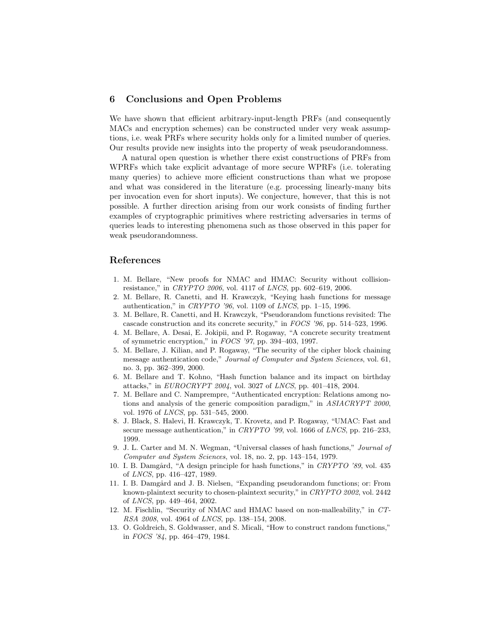# 6 Conclusions and Open Problems

We have shown that efficient arbitrary-input-length PRFs (and consequently MACs and encryption schemes) can be constructed under very weak assumptions, i.e. weak PRFs where security holds only for a limited number of queries. Our results provide new insights into the property of weak pseudorandomness.

A natural open question is whether there exist constructions of PRFs from WPRFs which take explicit advantage of more secure WPRFs (i.e. tolerating many queries) to achieve more efficient constructions than what we propose and what was considered in the literature (e.g. processing linearly-many bits per invocation even for short inputs). We conjecture, however, that this is not possible. A further direction arising from our work consists of finding further examples of cryptographic primitives where restricting adversaries in terms of queries leads to interesting phenomena such as those observed in this paper for weak pseudorandomness.

# References

- 1. M. Bellare, "New proofs for NMAC and HMAC: Security without collisionresistance," in CRYPTO 2006, vol. 4117 of LNCS, pp. 602–619, 2006.
- 2. M. Bellare, R. Canetti, and H. Krawczyk, "Keying hash functions for message authentication," in CRYPTO '96, vol. 1109 of LNCS, pp. 1–15, 1996.
- 3. M. Bellare, R. Canetti, and H. Krawczyk, "Pseudorandom functions revisited: The cascade construction and its concrete security," in FOCS '96, pp. 514–523, 1996.
- 4. M. Bellare, A. Desai, E. Jokipii, and P. Rogaway, "A concrete security treatment of symmetric encryption," in FOCS '97, pp. 394–403, 1997.
- 5. M. Bellare, J. Kilian, and P. Rogaway, "The security of the cipher block chaining message authentication code," Journal of Computer and System Sciences, vol. 61, no. 3, pp. 362–399, 2000.
- 6. M. Bellare and T. Kohno, "Hash function balance and its impact on birthday attacks," in EUROCRYPT 2004, vol. 3027 of LNCS, pp. 401–418, 2004.
- 7. M. Bellare and C. Namprempre, "Authenticated encryption: Relations among notions and analysis of the generic composition paradigm," in ASIACRYPT 2000, vol. 1976 of LNCS, pp. 531–545, 2000.
- 8. J. Black, S. Halevi, H. Krawczyk, T. Krovetz, and P. Rogaway, "UMAC: Fast and secure message authentication," in CRYPTO '99, vol. 1666 of LNCS, pp. 216–233, 1999.
- 9. J. L. Carter and M. N. Wegman, "Universal classes of hash functions," Journal of Computer and System Sciences, vol. 18, no. 2, pp. 143–154, 1979.
- 10. I. B. Damgård, "A design principle for hash functions," in CRYPTO '89, vol. 435 of LNCS, pp. 416–427, 1989.
- 11. I. B. Damgård and J. B. Nielsen, "Expanding pseudorandom functions; or: From known-plaintext security to chosen-plaintext security," in CRYPTO 2002, vol. 2442 of LNCS, pp. 449–464, 2002.
- 12. M. Fischlin, "Security of NMAC and HMAC based on non-malleability," in CT-RSA 2008, vol. 4964 of LNCS, pp. 138-154, 2008.
- 13. O. Goldreich, S. Goldwasser, and S. Micali, "How to construct random functions," in FOCS '84, pp. 464–479, 1984.